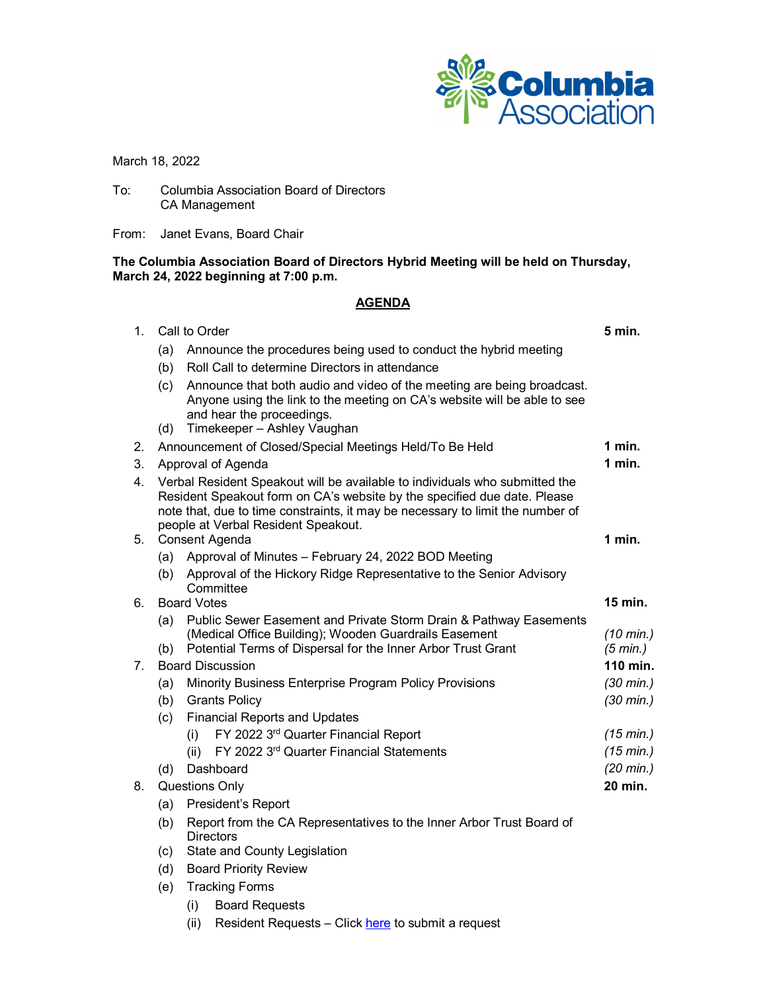

March 18, 2022

To: Columbia Association Board of Directors CA Management

From: Janet Evans, Board Chair

### **The Columbia Association Board of Directors Hybrid Meeting will be held on Thursday, March 24, 2022 beginning at 7:00 p.m.**

# **AGENDA**

| 1. | Call to Order                                                                                                                                                                                                                                                                    |                                                                                                                                                                                                                | 5 min.               |
|----|----------------------------------------------------------------------------------------------------------------------------------------------------------------------------------------------------------------------------------------------------------------------------------|----------------------------------------------------------------------------------------------------------------------------------------------------------------------------------------------------------------|----------------------|
|    | (a)                                                                                                                                                                                                                                                                              | Announce the procedures being used to conduct the hybrid meeting                                                                                                                                               |                      |
|    | (b)                                                                                                                                                                                                                                                                              | Roll Call to determine Directors in attendance                                                                                                                                                                 |                      |
|    | (c)<br>(d)                                                                                                                                                                                                                                                                       | Announce that both audio and video of the meeting are being broadcast.<br>Anyone using the link to the meeting on CA's website will be able to see<br>and hear the proceedings.<br>Timekeeper - Ashley Vaughan |                      |
| 2. | Announcement of Closed/Special Meetings Held/To Be Held                                                                                                                                                                                                                          |                                                                                                                                                                                                                | 1 min.               |
| 3. | Approval of Agenda                                                                                                                                                                                                                                                               |                                                                                                                                                                                                                | $1$ min.             |
| 4. | Verbal Resident Speakout will be available to individuals who submitted the<br>Resident Speakout form on CA's website by the specified due date. Please<br>note that, due to time constraints, it may be necessary to limit the number of<br>people at Verbal Resident Speakout. |                                                                                                                                                                                                                |                      |
| 5. | Consent Agenda                                                                                                                                                                                                                                                                   |                                                                                                                                                                                                                | $1$ min.             |
|    |                                                                                                                                                                                                                                                                                  | (a) Approval of Minutes - February 24, 2022 BOD Meeting                                                                                                                                                        |                      |
|    |                                                                                                                                                                                                                                                                                  | (b) Approval of the Hickory Ridge Representative to the Senior Advisory<br>Committee                                                                                                                           |                      |
| 6. | <b>Board Votes</b>                                                                                                                                                                                                                                                               |                                                                                                                                                                                                                | 15 min.              |
|    | (a)                                                                                                                                                                                                                                                                              | Public Sewer Easement and Private Storm Drain & Pathway Easements                                                                                                                                              |                      |
|    |                                                                                                                                                                                                                                                                                  | (Medical Office Building); Wooden Guardrails Easement                                                                                                                                                          | $(10 \text{ min.})$  |
| 7. | (b)                                                                                                                                                                                                                                                                              | Potential Terms of Dispersal for the Inner Arbor Trust Grant<br><b>Board Discussion</b>                                                                                                                        | (5 min.)<br>110 min. |
|    |                                                                                                                                                                                                                                                                                  | Minority Business Enterprise Program Policy Provisions                                                                                                                                                         | $(30 \text{ min.})$  |
|    | (a)<br>(b)                                                                                                                                                                                                                                                                       | <b>Grants Policy</b>                                                                                                                                                                                           | $(30 \text{ min.})$  |
|    | (c)                                                                                                                                                                                                                                                                              | <b>Financial Reports and Updates</b>                                                                                                                                                                           |                      |
|    |                                                                                                                                                                                                                                                                                  | FY 2022 3rd Quarter Financial Report<br>(i)                                                                                                                                                                    | (15 min.)            |
|    |                                                                                                                                                                                                                                                                                  | FY 2022 3rd Quarter Financial Statements<br>(ii)                                                                                                                                                               | (15 min.)            |
|    | (d)                                                                                                                                                                                                                                                                              | Dashboard                                                                                                                                                                                                      | $(20 \text{ min.})$  |
| 8. | <b>Questions Only</b>                                                                                                                                                                                                                                                            |                                                                                                                                                                                                                | 20 min.              |
|    | President's Report<br>(a)                                                                                                                                                                                                                                                        |                                                                                                                                                                                                                |                      |
|    | (b)                                                                                                                                                                                                                                                                              | Report from the CA Representatives to the Inner Arbor Trust Board of<br>Directors                                                                                                                              |                      |
|    | State and County Legislation<br>(c)                                                                                                                                                                                                                                              |                                                                                                                                                                                                                |                      |
|    | (d)                                                                                                                                                                                                                                                                              | <b>Board Priority Review</b>                                                                                                                                                                                   |                      |
|    | (e)                                                                                                                                                                                                                                                                              | <b>Tracking Forms</b>                                                                                                                                                                                          |                      |
|    |                                                                                                                                                                                                                                                                                  | (i)<br><b>Board Requests</b>                                                                                                                                                                                   |                      |

(ii) Resident Requests - Click [here](https://www.columbiaassociation.org/contact-us/contact-board-directors/) to submit a request